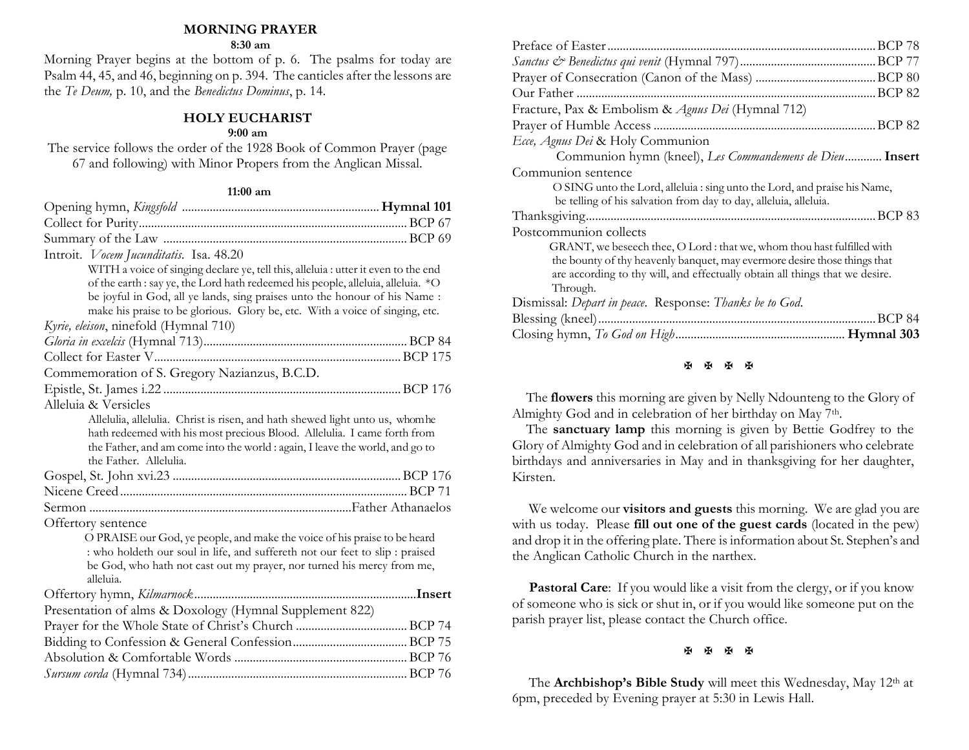### **MORNING PRAYER**

#### **8:30 am**

Morning Prayer begins at the bottom of p. 6. The psalms for today are Psalm 44, 45, and 46, beginning on p. 394. The canticles after the lessons are the *Te Deum,* p. 10, and the *Benedictus Dominus*, p. 14.

## **HOLY EUCHARIST**

#### **9:00 am**

The service follows the order of the 1928 Book of Common Prayer (page 67 and following) with Minor Propers from the Anglican Missal.

#### **11:00 am**

| Introit. Vocem Jucunditatis. Isa. 48.20                                                                                                                                                                                                                                                                                                                                      |        |
|------------------------------------------------------------------------------------------------------------------------------------------------------------------------------------------------------------------------------------------------------------------------------------------------------------------------------------------------------------------------------|--------|
| WITH a voice of singing declare ye, tell this, alleluia : utter it even to the end<br>of the earth : say ye, the Lord hath redeemed his people, alleluia, alleluia. *O<br>be joyful in God, all ye lands, sing praises unto the honour of his Name:<br>make his praise to be glorious. Glory be, etc. With a voice of singing, etc.<br>Kyrie, eleison, ninefold (Hymnal 710) |        |
|                                                                                                                                                                                                                                                                                                                                                                              |        |
|                                                                                                                                                                                                                                                                                                                                                                              |        |
| Commemoration of S. Gregory Nazianzus, B.C.D.                                                                                                                                                                                                                                                                                                                                |        |
|                                                                                                                                                                                                                                                                                                                                                                              |        |
| Alleluia & Versicles                                                                                                                                                                                                                                                                                                                                                         |        |
| Allelulia, allelulia. Christ is risen, and hath shewed light unto us, whomhe<br>hath redeemed with his most precious Blood. Allelulia. I came forth from<br>the Father, and am come into the world : again, I leave the world, and go to<br>the Father. Allelulia.                                                                                                           |        |
|                                                                                                                                                                                                                                                                                                                                                                              |        |
|                                                                                                                                                                                                                                                                                                                                                                              |        |
|                                                                                                                                                                                                                                                                                                                                                                              |        |
| Offertory sentence                                                                                                                                                                                                                                                                                                                                                           |        |
| O PRAISE our God, ye people, and make the voice of his praise to be heard<br>: who holdeth our soul in life, and suffereth not our feet to slip : praised<br>be God, who hath not cast out my prayer, nor turned his mercy from me,<br>alleluia.                                                                                                                             |        |
|                                                                                                                                                                                                                                                                                                                                                                              | Insert |
| Presentation of alms & Doxology (Hymnal Supplement 822)                                                                                                                                                                                                                                                                                                                      |        |
|                                                                                                                                                                                                                                                                                                                                                                              |        |
|                                                                                                                                                                                                                                                                                                                                                                              |        |
|                                                                                                                                                                                                                                                                                                                                                                              |        |
|                                                                                                                                                                                                                                                                                                                                                                              |        |
|                                                                                                                                                                                                                                                                                                                                                                              |        |

| .BCP 78                                                                      |
|------------------------------------------------------------------------------|
|                                                                              |
|                                                                              |
|                                                                              |
| Fracture, Pax & Embolism & Agnus Dei (Hymnal 712)                            |
|                                                                              |
| Ecce, Agnus Dei & Holy Communion                                             |
| Communion hymn (kneel), Les Commandemens de Dieu Insert                      |
| Communion sentence                                                           |
| O SING unto the Lord, alleluia : sing unto the Lord, and praise his Name,    |
| be telling of his salvation from day to day, alleluia, alleluia.             |
|                                                                              |
| Postcommunion collects                                                       |
| GRANT, we beseech thee, O Lord : that we, whom thou hast fulfilled with      |
| the bounty of thy heavenly banquet, may evermore desire those things that    |
| are according to thy will, and effectually obtain all things that we desire. |
| Through.                                                                     |
| Dismissal: Depart in peace. Response: Thanks be to God.                      |
|                                                                              |
|                                                                              |

#### **H H H H**

 The **flowers** this morning are given by Nelly Ndounteng to the Glory of Almighty God and in celebration of her birthday on May 7<sup>th</sup>.

 The **sanctuary lamp** this morning is given by Bettie Godfrey to the Glory of Almighty God and in celebration of all parishioners who celebrate birthdays and anniversaries in May and in thanksgiving for her daughter, Kirsten.

We welcome our **visitors and guests** this morning. We are glad you are with us today. Please **fill out one of the guest cards** (located in the pew) and drop it in the offering plate. There is information about St. Stephen's and the Anglican Catholic Church in the narthex.

Pastoral Care: If you would like a visit from the clergy, or if you know of someone who is sick or shut in, or if you would like someone put on the parish prayer list, please contact the Church office.

**H H H H** 

The **Archbishop's Bible Study** will meet this Wednesday, May 12th at 6pm, preceded by Evening prayer at 5:30 in Lewis Hall.